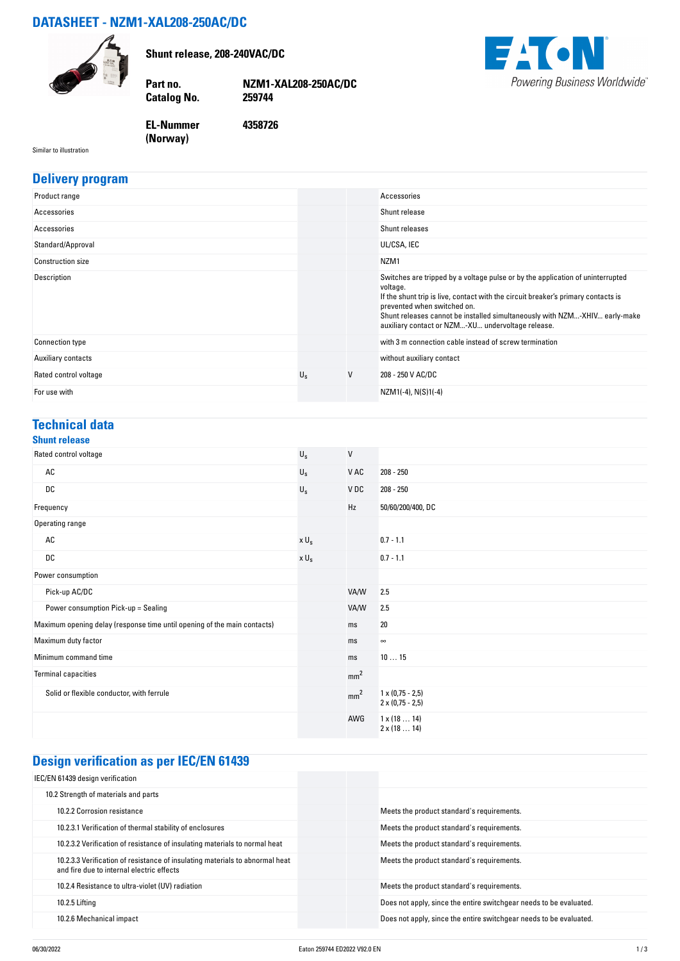# **DATASHEET - NZM1-XAL208-250AC/DC**



**Shunt release, 208-240VAC/DC**

**Catalog No.** 

**Part no. NZM1-XAL208-250AC/DC**

**4358726**

**EACN** Powering Business Worldwide®

**EL-Nummer (Norway)** 

Similar to illustration

#### **Delivery program**

| Product range            |             |   | Accessories                                                                                                                                                                                                                                                                                                                                       |
|--------------------------|-------------|---|---------------------------------------------------------------------------------------------------------------------------------------------------------------------------------------------------------------------------------------------------------------------------------------------------------------------------------------------------|
| Accessories              |             |   | Shunt release                                                                                                                                                                                                                                                                                                                                     |
| Accessories              |             |   | Shunt releases                                                                                                                                                                                                                                                                                                                                    |
| Standard/Approval        |             |   | UL/CSA, IEC                                                                                                                                                                                                                                                                                                                                       |
| <b>Construction size</b> |             |   | NZM <sub>1</sub>                                                                                                                                                                                                                                                                                                                                  |
| Description              |             |   | Switches are tripped by a voltage pulse or by the application of uninterrupted<br>voltage.<br>If the shunt trip is live, contact with the circuit breaker's primary contacts is<br>prevented when switched on.<br>Shunt releases cannot be installed simultaneously with NZM-XHIV early-make<br>auxiliary contact or NZM-XU undervoltage release. |
| <b>Connection type</b>   |             |   | with 3 m connection cable instead of screw termination                                                                                                                                                                                                                                                                                            |
| Auxiliary contacts       |             |   | without auxiliary contact                                                                                                                                                                                                                                                                                                                         |
| Rated control voltage    | $U_{\rm s}$ | V | 208 - 250 V AC/DC                                                                                                                                                                                                                                                                                                                                 |
| For use with             |             |   | NZM1(-4), N(S)1(-4)                                                                                                                                                                                                                                                                                                                               |

#### **Technical data**

### **Shunt release**

| UNUM IVIUUU                                                              |             |                 |                                                    |
|--------------------------------------------------------------------------|-------------|-----------------|----------------------------------------------------|
| Rated control voltage                                                    | $U_{\rm S}$ | $\mathsf{V}$    |                                                    |
| AC                                                                       | $U_{\rm S}$ | V AC            | $208 - 250$                                        |
| DC                                                                       | $U_{\rm S}$ | V DC            | $208 - 250$                                        |
| Frequency                                                                |             | Hz              | 50/60/200/400, DC                                  |
| Operating range                                                          |             |                 |                                                    |
| AC                                                                       | $x U_s$     |                 | $0.7 - 1.1$                                        |
| DC                                                                       | $x U_s$     |                 | $0.7 - 1.1$                                        |
| Power consumption                                                        |             |                 |                                                    |
| Pick-up AC/DC                                                            |             | VA/W            | 2.5                                                |
| Power consumption Pick-up = Sealing                                      |             | VA/W            | 2.5                                                |
| Maximum opening delay (response time until opening of the main contacts) |             | ms              | 20                                                 |
| Maximum duty factor                                                      |             | ms              | $\infty$                                           |
| Minimum command time                                                     |             | ms              | 1015                                               |
| <b>Terminal capacities</b>                                               |             | mm <sup>2</sup> |                                                    |
| Solid or flexible conductor, with ferrule                                |             | mm <sup>2</sup> | $1 \times (0.75 - 2.5)$<br>$2 \times (0.75 - 2.5)$ |
|                                                                          |             | AWG             | $1 \times (1814)$<br>$2 \times (1814)$             |

# **Design verification as per IEC/EN 61439**

| IEC/EN 61439 design verification                                                                                          |                                                                    |
|---------------------------------------------------------------------------------------------------------------------------|--------------------------------------------------------------------|
| 10.2 Strength of materials and parts                                                                                      |                                                                    |
| 10.2.2 Corrosion resistance                                                                                               | Meets the product standard's requirements.                         |
| 10.2.3.1 Verification of thermal stability of enclosures                                                                  | Meets the product standard's requirements.                         |
| 10.2.3.2 Verification of resistance of insulating materials to normal heat                                                | Meets the product standard's requirements.                         |
| 10.2.3.3 Verification of resistance of insulating materials to abnormal heat<br>and fire due to internal electric effects | Meets the product standard's requirements.                         |
| 10.2.4 Resistance to ultra-violet (UV) radiation                                                                          | Meets the product standard's requirements.                         |
| 10.2.5 Lifting                                                                                                            | Does not apply, since the entire switchgear needs to be evaluated. |
| 10.2.6 Mechanical impact                                                                                                  | Does not apply, since the entire switchgear needs to be evaluated. |
|                                                                                                                           |                                                                    |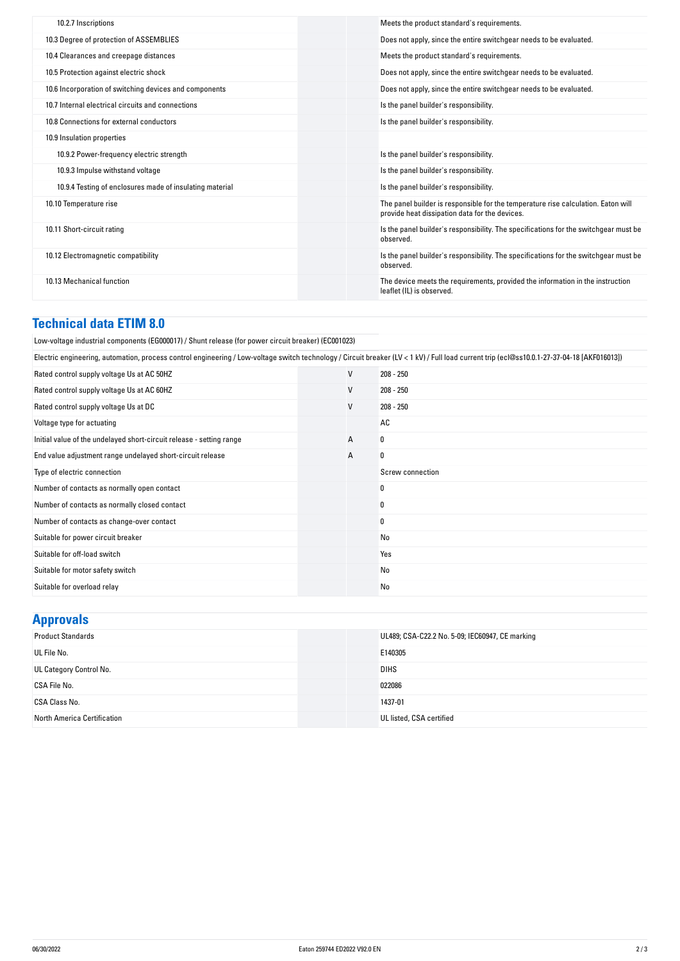| 10.2.7 Inscriptions                                      | Meets the product standard's requirements.                                                                                          |
|----------------------------------------------------------|-------------------------------------------------------------------------------------------------------------------------------------|
| 10.3 Degree of protection of ASSEMBLIES                  | Does not apply, since the entire switchgear needs to be evaluated.                                                                  |
| 10.4 Clearances and creepage distances                   | Meets the product standard's requirements.                                                                                          |
| 10.5 Protection against electric shock                   | Does not apply, since the entire switchgear needs to be evaluated.                                                                  |
| 10.6 Incorporation of switching devices and components   | Does not apply, since the entire switchgear needs to be evaluated.                                                                  |
| 10.7 Internal electrical circuits and connections        | Is the panel builder's responsibility.                                                                                              |
| 10.8 Connections for external conductors                 | Is the panel builder's responsibility.                                                                                              |
| 10.9 Insulation properties                               |                                                                                                                                     |
| 10.9.2 Power-frequency electric strength                 | Is the panel builder's responsibility.                                                                                              |
| 10.9.3 Impulse withstand voltage                         | Is the panel builder's responsibility.                                                                                              |
| 10.9.4 Testing of enclosures made of insulating material | Is the panel builder's responsibility.                                                                                              |
| 10.10 Temperature rise                                   | The panel builder is responsible for the temperature rise calculation. Eaton will<br>provide heat dissipation data for the devices. |
| 10.11 Short-circuit rating                               | Is the panel builder's responsibility. The specifications for the switchgear must be<br>observed.                                   |
| 10.12 Electromagnetic compatibility                      | Is the panel builder's responsibility. The specifications for the switchgear must be<br>observed.                                   |
| 10.13 Mechanical function                                | The device meets the requirements, provided the information in the instruction<br>leaflet (IL) is observed.                         |
|                                                          |                                                                                                                                     |

### **Technical data ETIM 8.0**

| (ECO01023) Low-voltage industrial components (EG000017) / Shunt release (for power circuit breaker)                                                                                         |   |                  |
|---------------------------------------------------------------------------------------------------------------------------------------------------------------------------------------------|---|------------------|
| Electric engineering, automation, process control engineering / Low-voltage switch technology / Circuit breaker (LV < 1 kV) / Full load current trip (ecl@ss10.0.1-27-37-04-18 [AKF016013]) |   |                  |
| Rated control supply voltage Us at AC 50HZ                                                                                                                                                  | V | $208 - 250$      |
| Rated control supply voltage Us at AC 60HZ                                                                                                                                                  | V | $208 - 250$      |
| Rated control supply voltage Us at DC                                                                                                                                                       | V | $208 - 250$      |
| Voltage type for actuating                                                                                                                                                                  |   | AC               |
| Initial value of the undelayed short-circuit release - setting range                                                                                                                        | А | 0                |
| End value adjustment range undelayed short-circuit release                                                                                                                                  | А | 0                |
| Type of electric connection                                                                                                                                                                 |   | Screw connection |
| Number of contacts as normally open contact                                                                                                                                                 |   | $\bf{0}$         |
| Number of contacts as normally closed contact                                                                                                                                               |   | 0                |
| Number of contacts as change-over contact                                                                                                                                                   |   | 0                |
| Suitable for power circuit breaker                                                                                                                                                          |   | No               |
| Suitable for off-load switch                                                                                                                                                                |   | Yes              |
| Suitable for motor safety switch                                                                                                                                                            |   | No               |
| Suitable for overload relay                                                                                                                                                                 |   | No               |
|                                                                                                                                                                                             |   |                  |

# **Approvals**

| .                           |                                                 |
|-----------------------------|-------------------------------------------------|
| <b>Product Standards</b>    | UL489; CSA-C22.2 No. 5-09; IEC60947, CE marking |
| UL File No.                 | E140305                                         |
| UL Category Control No.     | <b>DIHS</b>                                     |
| CSA File No.                | 022086                                          |
| CSA Class No.               | 1437-01                                         |
| North America Certification | UL listed, CSA certified                        |